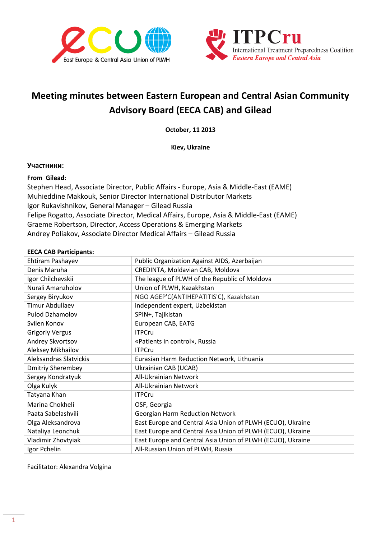



# **Meeting minutes between Eastern European and Central Asian Community Advisory Board (EECA CAB) and Gilead**

**October, 11 2013**

**Kiev, Ukraine**

#### **Участники:**

#### **From Gilead:**

Stephen Head, Associate Director, Public Affairs - Europe, Asia & Middle-East (EAME) Muhieddine Makkouk, Senior Director International Distributor Markets Igor Rukavishnikov, General Manager – Gilead Russia Felipe Rogatto, Associate Director, Medical Affairs, Europe, Asia & Middle-East (EAME) Graeme Robertson, Director, Access Operations & Emerging Markets Andrey Poliakov, Associate Director Medical Affairs – Gilead Russia

#### **EECA CAB Participants:**

| Ehtiram Pashayev         | Public Organization Against AIDS, Azerbaijan               |
|--------------------------|------------------------------------------------------------|
| Denis Maruha             | CREDINTA, Moldavian CAB, Moldova                           |
| Igor Chilchevskii        | The league of PLWH of the Republic of Moldova              |
| Nurali Amanzholov        | Union of PLWH, Kazakhstan                                  |
| Sergey Biryukov          | NGO AGEP'C(ANTIHEPATITIS'C), Kazakhstan                    |
| <b>Timur Abdullaev</b>   | independent expert, Uzbekistan                             |
| <b>Pulod Dzhamolov</b>   | SPIN+, Tajikistan                                          |
| Svilen Konov             | European CAB, EATG                                         |
| <b>Grigoriy Vergus</b>   | <b>ITPCru</b>                                              |
| Andrey Skvortsov         | «Patients in control», Russia                              |
| Aleksey Mikhailov        | <b>ITPCru</b>                                              |
| Aleksandras Slatvickis   | Eurasian Harm Reduction Network, Lithuania                 |
| <b>Dmitriy Sherembey</b> | Ukrainian CAB (UCAB)                                       |
| Sergey Kondratyuk        | All-Ukrainian Network                                      |
| Olga Kulyk               | All-Ukrainian Network                                      |
| Tatyana Khan             | <b>ITPCru</b>                                              |
| Marina Chokheli          | OSF, Georgia                                               |
| Paata Sabelashvili       | <b>Georgian Harm Reduction Network</b>                     |
| Olga Aleksandrova        | East Europe and Central Asia Union of PLWH (ECUO), Ukraine |
| Nataliya Leonchuk        | East Europe and Central Asia Union of PLWH (ECUO), Ukraine |
| Vladimir Zhovtyiak       | East Europe and Central Asia Union of PLWH (ECUO), Ukraine |
| Igor Pchelin             | All-Russian Union of PLWH, Russia                          |

Facilitator: Alexandra Volgina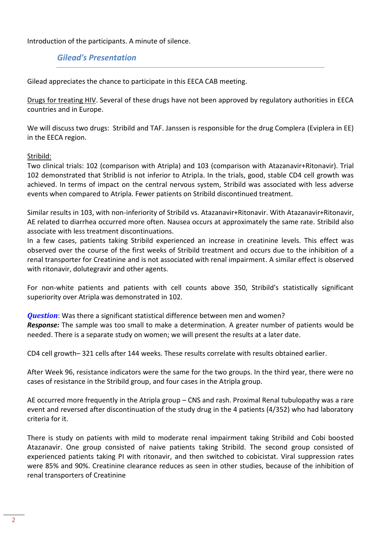Introduction of the participants. A minute of silence.

*Gilead's Presentation* 

Gilead appreciates the chance to participate in this EECA CAB meeting.

Drugs for treating HIV. Several of these drugs have not been approved by regulatory authorities in EECA countries and in Europe.

We will discuss two drugs: Stribild and TAF. Janssen is responsible for the drug Complera (Eviplera in EE) in the EECA region.

#### Stribild:

Two clinical trials: 102 (comparison with Atripla) and 103 (comparison with Atazanavir+Ritonavir). Trial 102 demonstrated that Striblid is not inferior to Atripla. In the trials, good, stable CD4 cell growth was achieved. In terms of impact on the central nervous system, Stribild was associated with less adverse events when compared to Atripla. Fewer patients on Stribild discontinued treatment.

Similar results in 103, with non-inferiority of Stribild vs. Atazanavir+Ritonavir. With Atazanavir+Ritonavir, AE related to diarrhea occurred more often. Nausea occurs at approximately the same rate. Stribild also associate with less treatment discontinuations.

In a few cases, patients taking Stribild experienced an increase in creatinine levels. This effect was observed over the course of the first weeks of Stribild treatment and occurs due to the inhibition of a renal transporter for Creatinine and is not associated with renal impairment. A similar effect is observed with ritonavir, dolutegravir and other agents.

For non-white patients and patients with cell counts above 350, Stribild's statistically significant superiority over Atripla was demonstrated in 102.

*Question*: Was there a significant statistical difference between men and women? *Response:* The sample was too small to make a determination. A greater number of patients would be needed. There is a separate study on women; we will present the results at a later date.

CD4 cell growth– 321 cells after 144 weeks. These results correlate with results obtained earlier.

After Week 96, resistance indicators were the same for the two groups. In the third year, there were no cases of resistance in the Stribild group, and four cases in the Atripla group.

AE occurred more frequently in the Atripla group – CNS and rash. Proximal Renal tubulopathy was a rare event and reversed after discontinuation of the study drug in the 4 patients (4/352) who had laboratory criteria for it.

There is study on patients with mild to moderate renal impairment taking Stribild and Cobi boosted Atazanavir. One group consisted of naive patients taking Stribild. The second group consisted of experienced patients taking PI with ritonavir, and then switched to cobicistat. Viral suppression rates were 85% and 90%. Creatinine clearance reduces as seen in other studies, because of the inhibition of renal transporters of Creatinine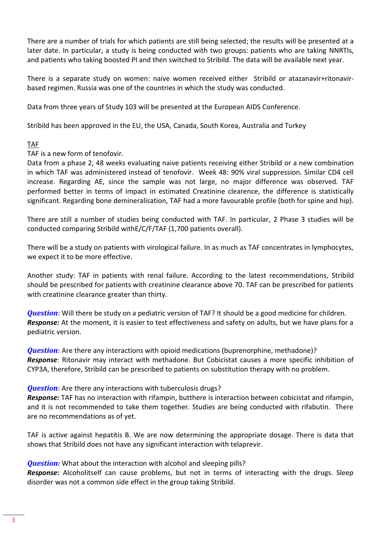There are a number of trials for which patients are still being selected; the results will be presented at a later date. In particular, a study is being conducted with two groups: patients who are taking NNRTIs, and patients who taking boosted PI and then switched to Stribild. The data will be available next year.

There is a separate study on women: naive women received either Stribild or atazanavir+ritonavirbased regimen. Russia was one of the countries in which the study was conducted.

Data from three years of Study 103 will be presented at the European AIDS Conference.

Stribild has been approved in the EU, the USA, Canada, South Korea, Australia and Turkey

# TAF

TAF is a new form of tenofovir.

Data from a phase 2, 48 weeks evaluating naive patients receiving either Stribild or a new combination in which TAF was administered instead of tenofovir. Week 48: 90% viral suppression. Similar CD4 cell increase. Regarding AE, since the sample was not large, no major difference was observed. TAF performed better in terms of impact in estimated Creatinine clearence, the difference is statistically significant. Regarding bone demineralisation, TAF had a more favourable profile (both for spine and hip).

There are still a number of studies being conducted with TAF. In particular, 2 Phase 3 studies will be conducted comparing Stribild withE/C/F/TAF (1,700 patients overall).

There will be a study on patients with virological failure. In as much as TAF concentrates in lymphocytes, we expect it to be more effective.

Another study: TAF in patients with renal failure. According to the latest recommendations, Stribild should be prescribed for patients with creatinine clearance above 70. TAF can be prescribed for patients with creatinine clearance greater than thirty.

*Question*: Will there be study on a pediatric version of TAF? It should be a good medicine for children. *Response:* At the moment, it is easier to test effectiveness and safety on adults, but we have plans for a pediatric version.

*Question*: Are there any interactions with opioid medications (buprenorphine, methadone)? *Response*: Ritonavir may interact with methadone. But Cobicistat causes a more specific inhibition of CYP3A, therefore, Stribild can be prescribed to patients on substitution therapy with no problem.

#### *Question*: Are there any interactions with tuberculosis drugs?

*Response:* TAF has no interaction with rifampin, butthere is interaction between cobicistat and rifampin, and it is not recommended to take them together. Studies are being conducted with rifabutin. There are no recommendations as of yet.

TAF is active against hepatitis B. We are now determining the appropriate dosage. There is data that shows that Stribild does not have any significant interaction with telaprevir.

**Question:** What about the interaction with alcohol and sleeping pills?

*Response:* Alcoholitself can cause problems, but not in terms of interacting with the drugs. Sleep disorder was not a common side effect in the group taking Stribild.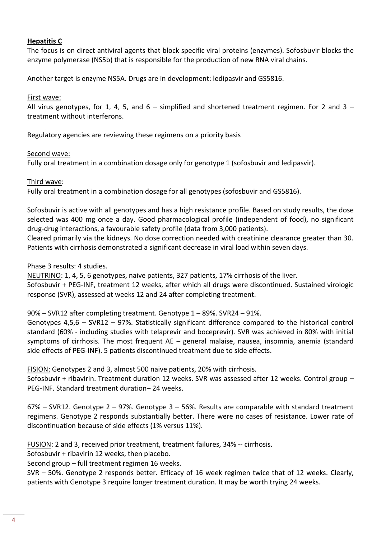# **Hepatitis С**

The focus is on direct antiviral agents that block specific viral proteins (enzymes). Sofosbuvir blocks the enzyme polymerase (NS5b) that is responsible for the production of new RNA viral chains.

Another target is enzyme NS5A. Drugs are in development: ledipasvir and GS5816.

# First wave:

All virus genotypes, for 1, 4, 5, and  $6 -$  simplified and shortened treatment regimen. For 2 and 3 – treatment without interferons.

Regulatory agencies are reviewing these regimens on a priority basis

# Second wave:

Fully oral treatment in a combination dosage only for genotype 1 (sofosbuvir and ledipasvir).

# Third wave:

Fully oral treatment in a combination dosage for all genotypes (sofosbuvir and GS5816).

Sofosbuvir is active with all genotypes and has a high resistance profile. Based on study results, the dose selected was 400 mg once a day. Good pharmacological profile (independent of food), no significant drug-drug interactions, a favourable safety profile (data from 3,000 patients).

Cleared primarily via the kidneys. No dose correction needed with creatinine clearance greater than 30. Patients with cirrhosis demonstrated a significant decrease in viral load within seven days.

# Phase 3 results: 4 studies.

NEUTRINO: 1, 4, 5, 6 genotypes, naive patients, 327 patients, 17% cirrhosis of the liver. Sofosbuvir + PEG-INF, treatment 12 weeks, after which all drugs were discontinued. Sustained virologic response (SVR), assessed at weeks 12 and 24 after completing treatment.

90% – SVR12 after completing treatment. Genotype 1 – 89%. SVR24 – 91%.

Genotypes 4,5,6 – SVR12 – 97%. Statistically significant difference compared to the historical control standard (60% - including studies with telaprevir and boceprevir). SVR was achieved in 80% with initial symptoms of cirrhosis. The most frequent AE – general malaise, nausea, insomnia, anemia (standard side effects of PEG-INF). 5 patients discontinued treatment due to side effects.

FISION: Genotypes 2 and 3, almost 500 naive patients, 20% with cirrhosis.

Sofosbuvir + ribavirin. Treatment duration 12 weeks. SVR was assessed after 12 weeks. Control group – PEG-INF. Standard treatment duration– 24 weeks.

67% – SVR12. Genotype 2 – 97%. Genotype 3 – 56%. Results are comparable with standard treatment regimens. Genotype 2 responds substantially better. There were no cases of resistance. Lower rate of discontinuation because of side effects (1% versus 11%).

FUSION: 2 and 3, received prior treatment, treatment failures, 34% -- cirrhosis.

Sofosbuvir + ribavirin 12 weeks, then placebo.

Second group – full treatment regimen 16 weeks.

SVR – 50%. Genotype 2 responds better. Efficacy of 16 week regimen twice that of 12 weeks. Clearly, patients with Genotype 3 require longer treatment duration. It may be worth trying 24 weeks.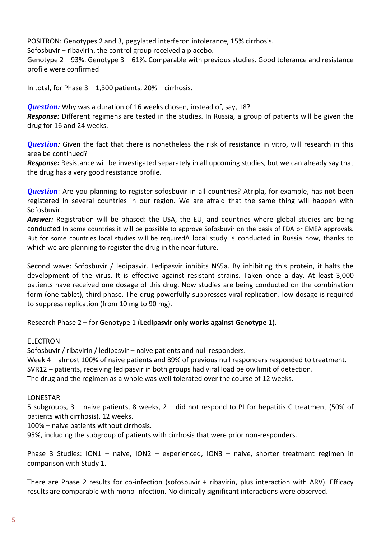POSITRON: Genotypes 2 and 3, pegylated interferon intolerance, 15% cirrhosis.

Sofosbuvir + ribavirin, the control group received a placebo.

Genotype 2 – 93%. Genotype 3 – 61%. Comparable with previous studies. Good tolerance and resistance profile were confirmed

In total, for Phase  $3 - 1,300$  patients,  $20\%$  – cirrhosis.

*Question:* Why was a duration of 16 weeks chosen, instead of, say, 18? *Response:* Different regimens are tested in the studies. In Russia, a group of patients will be given the drug for 16 and 24 weeks.

*Question:* Given the fact that there is nonetheless the risk of resistance in vitro, will research in this area be continued?

*Response:* Resistance will be investigated separately in all upcoming studies, but we can already say that the drug has a very good resistance profile.

*Question*: Are you planning to register sofosbuvir in all countries? Atripla, for example, has not been registered in several countries in our region. We are afraid that the same thing will happen with Sofosbuvir.

*Answer:* Registration will be phased: the USA, the EU, and countries where global studies are being conducted In some countries it will be possible to approve Sofosbuvir on the basis of FDA or EMEA approvals. But for some countries local studies will be requiredA local study is conducted in Russia now, thanks to which we are planning to register the drug in the near future.

Second wave: Sofosbuvir / ledipasvir. Ledipasvir inhibits NS5a. By inhibiting this protein, it halts the development of the virus. It is effective against resistant strains. Taken once a day. At least 3,000 patients have received one dosage of this drug. Now studies are being conducted on the combination form (one tablet), third phase. The drug powerfully suppresses viral replication. low dosage is required to suppress replication (from 10 mg to 90 mg).

Research Phase 2 – for Genotype 1 (**Ledipasvir only works against Genotype 1**).

#### ELECTRON

Sofosbuvir / ribavirin / ledipasvir – naive patients and null responders.

Week 4 – almost 100% of naive patients and 89% of previous null responders responded to treatment. SVR12 – patients, receiving ledipasvir in both groups had viral load below limit of detection.

The drug and the regimen as a whole was well tolerated over the course of 12 weeks.

#### LONESTAR

5 subgroups, 3 – naive patients, 8 weeks, 2 – did not respond to PI for hepatitis C treatment (50% of patients with cirrhosis), 12 weeks.

100% – naive patients without cirrhosis.

95%, including the subgroup of patients with cirrhosis that were prior non-responders.

Phase 3 Studies: ION1 – naive, ION2 – experienced, ION3 – naive, shorter treatment regimen in comparison with Study 1.

There are Phase 2 results for co-infection (sofosbuvir + ribavirin, plus interaction with ARV). Efficacy results are comparable with mono-infection. No clinically significant interactions were observed.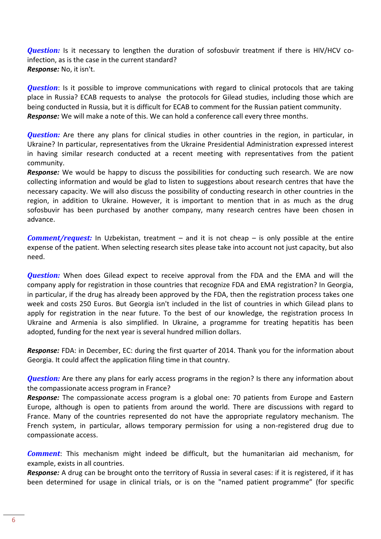*Question:* Is it necessary to lengthen the duration of sofosbuvir treatment if there is HIV/HCV coinfection, as is the case in the current standard? *Response:* No, it isn't.

*Question*: Is it possible to improve communications with regard to clinical protocols that are taking place in Russia? ECAB requests to analyse the protocols for Gilead studies, including those which are being conducted in Russia, but it is difficult for ECAB to comment for the Russian patient community. *Response:* We will make a note of this. We can hold a conference call every three months.

*Question:* Are there any plans for clinical studies in other countries in the region, in particular, in Ukraine? In particular, representatives from the Ukraine Presidential Administration expressed interest in having similar research conducted at a recent meeting with representatives from the patient community.

*Response:* We would be happy to discuss the possibilities for conducting such research. We are now collecting information and would be glad to listen to suggestions about research centres that have the necessary capacity. We will also discuss the possibility of conducting research in other countries in the region, in addition to Ukraine. However, it is important to mention that in as much as the drug sofosbuvir has been purchased by another company, many research centres have been chosen in advance.

*Comment/request:* In Uzbekistan, treatment – and it is not cheap – is only possible at the entire expense of the patient. When selecting research sites please take into account not just capacity, but also need.

*Question:* When does Gilead expect to receive approval from the FDA and the EMA and will the company apply for registration in those countries that recognize FDA and EMA registration? In Georgia, in particular, if the drug has already been approved by the FDA, then the registration process takes one week and costs 250 Euros. But Georgia isn't included in the list of countries in which Gilead plans to apply for registration in the near future. To the best of our knowledge, the registration process In Ukraine and Armenia is also simplified. In Ukraine, a programme for treating hepatitis has been adopted, funding for the next year is several hundred million dollars.

*Response:* FDA: in December, ЕС: during the first quarter of 2014. Thank you for the information about Georgia. It could affect the application filing time in that country.

*Question:* Are there any plans for early access programs in the region? Is there any information about the compassionate access program in France?

*Response:* The compassionate access program is a global one: 70 patients from Europe and Eastern Europe, although is open to patients from around the world. There are discussions with regard to France. Many of the countries represented do not have the appropriate regulatory mechanism. The French system, in particular, allows temporary permission for using a non-registered drug due to compassionate access.

*Comment*: This mechanism might indeed be difficult, but the humanitarian aid mechanism, for example, exists in all countries.

*Response:* A drug can be brought onto the territory of Russia in several cases: if it is registered, if it has been determined for usage in clinical trials, or is on the "named patient programme" (for specific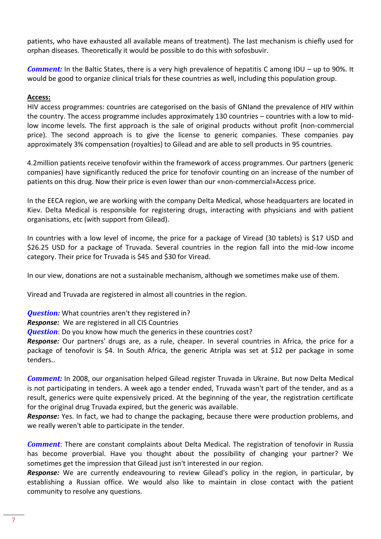patients, who have exhausted all available means of treatment). The last mechanism is chiefly used for orphan diseases. Theoretically it would be possible to do this with sofosbuvir.

*Comment:* In the Baltic States, there is a very high prevalence of hepatitis C among IDU – up to 90%. It would be good to organize clinical trials for these countries as well, including this population group.

# **Access:**

HIV access programmes: countries are categorised on the basis of GNIand the prevalence of HIV within the country. The access programme includes approximately 130 countries – countries with a low to midlow income levels. The first approach is the sale of original products without profit (non-commercial price). The second approach is to give the license to generic companies. These companies pay approximately 3% compensation (royalties) to Gilead and are able to sell products in 95 countries.

4.2million patients receive tenofovir within the framework of access programmes. Our partners (generic companies) have significantly reduced the price for tenofovir counting on an increase of the number of patients on this drug. Now their price is even lower than our «non-commercial»Access price.

In the EECA region, we are working with the company Delta Medical, whose headquarters are located in Kiev. Delta Medical is responsible for registering drugs, interacting with physicians and with patient organisations, etc (with support from Gilead).

In countries with a low level of income, the price for a package of Viread (30 tablets) is \$17 USD and \$26.25 USD for a package of Truvada. Several countries in the region fall into the mid-low income category. Their price for Truvada is \$45 and \$30 for Viread.

In our view, donations are not a sustainable mechanism, although we sometimes make use of them.

Viread and Truvada are registered in almost all countries in the region.

*Question:* What countries aren't they registered in?

*Response:* We are registered in all CIS Countries

**Question**: Do you know how much the generics in these countries cost?

*Response:* Our partners' drugs are, as a rule, cheaper. In several countries in Africa, the price for a package of tenofovir is \$4. In South Africa, the generic Atripla was set at \$12 per package in some tenders..

*Comment:* In 2008, our organisation helped Gilead register Truvada in Ukraine. But now Delta Medical is not participating in tenders. A week ago a tender ended, Truvada wasn't part of the tender, and as a result, generics were quite expensively priced. At the beginning of the year, the registration certificate for the original drug Truvada expired, but the generic was available.

*Response:* Yes. In fact, we had to change the packaging, because there were production problems, and we really weren't able to participate in the tender.

*Comment*: There are constant complaints about Delta Medical. The registration of tenofovir in Russia has become proverbial. Have you thought about the possibility of changing your partner? We sometimes get the impression that Gilead just isn't interested in our region.

*Response:* We are currently endeavouring to review Gilead's policy in the region, in particular, by establishing a Russian office. We would also like to maintain in close contact with the patient community to resolve any questions.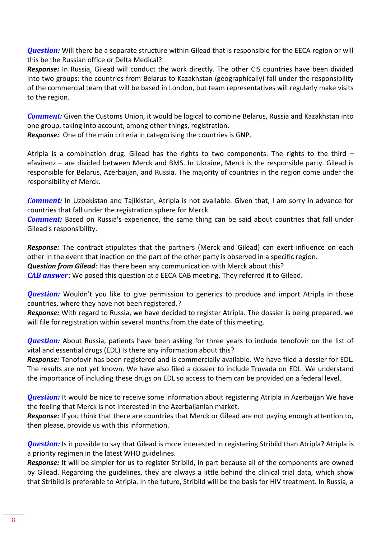*Question:* Will there be a separate structure within Gilead that is responsible for the EECA region or will this be the Russian office or Delta Medical?

*Response:* In Russia, Gilead will conduct the work directly. The other CIS countries have been divided into two groups: the countries from Belarus to Kazakhstan (geographically) fall under the responsibility of the commercial team that will be based in London, but team representatives will regularly make visits to the region.

*Comment:* Given the Customs Union, it would be logical to combine Belarus, Russia and Kazakhstan into one group, taking into account, among other things, registration.

*Response:* One of the main criteria in categorising the countries is GNP.

Atripla is a combination drug. Gilead has the rights to two components. The rights to the third  $$ efavirenz – are divided between Merck and BMS. In Ukraine, Merck is the responsible party. Gilead is responsible for Belarus, Azerbaijan, and Russia. The majority of countries in the region come under the responsibility of Merck.

*Comment:* In Uzbekistan and Tajikistan, Atripla is not available. Given that, I am sorry in advance for countries that fall under the registration sphere for Merck.

*Comment:* Based on Russia's experience, the same thing can be said about countries that fall under Gilead's responsibility.

*Response:* The contract stipulates that the partners (Merck and Gilead) can exert influence on each other in the event that inaction on the part of the other party is observed in a specific region. *Question from Gilead*: Has there been any communication with Merck about this?

*CAB answer*: We posed this question at a EECA CAB meeting. They referred it to Gilead.

*Question:* Wouldn't you like to give permission to generics to produce and import Atripla in those countries, where they have not been registered.?

*Response:* With regard to Russia, we have decided to register Atripla. The dossier is being prepared, we will file for registration within several months from the date of this meeting.

*Question:* About Russia, patients have been asking for three years to include tenofovir on the list of vital and essential drugs (EDL) Is there any information about this?

*Response:* Tenofovir has been registered and is commercially available. We have filed a dossier for EDL. The results are not yet known. We have also filed a dossier to include Truvada on EDL. We understand the importance of including these drugs on EDL so access to them can be provided on a federal level.

*Question:* It would be nice to receive some information about registering Atripla in Azerbaijan We have the feeling that Merck is not interested in the Azerbaijanian market.

*Response:* If you think that there are countries that Merck or Gilead are not paying enough attention to, then please, provide us with this information.

*Question:* Is it possible to say that Gilead is more interested in registering Stribild than Atripla? Atripla is a priority regimen in the latest WHO guidelines.

*Response:* It will be simpler for us to register Stribild, in part because all of the components are owned by Gilead. Regarding the guidelines, they are always a little behind the clinical trial data, which show that Stribild is preferable to Atripla. In the future, Stribild will be the basis for HIV treatment. In Russia, a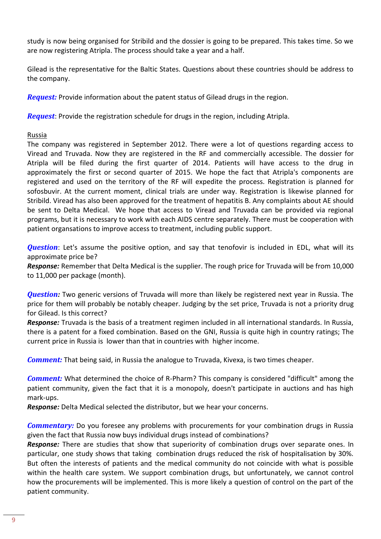study is now being organised for Stribild and the dossier is going to be prepared. This takes time. So we are now registering Atripla. The process should take a year and a half.

Gilead is the representative for the Baltic States. Questions about these countries should be address to the company.

*Request:* Provide information about the patent status of Gilead drugs in the region.

*Request*: Provide the registration schedule for drugs in the region, including Atripla.

# Russia

The company was registered in September 2012. There were a lot of questions regarding access to Viread and Truvada. Now they are registered in the RF and commercially accessible. The dossier for Atripla will be filed during the first quarter of 2014. Patients will have access to the drug in approximately the first or second quarter of 2015. We hope the fact that Atripla's components are registered and used on the territory of the RF will expedite the process. Registration is planned for sofosbuvir. At the current moment, clinical trials are under way. Registration is likewise planned for Stribild. Viread has also been approved for the treatment of hepatitis B. Any complaints about AE should be sent to Delta Medical. We hope that access to Viread and Truvada can be provided via regional programs, but it is necessary to work with each AIDS centre separately. There must be cooperation with patient organsations to improve access to treatment, including public support.

*Question*: Let's assume the positive option, and say that tenofovir is included in EDL, what will its approximate price be?

*Response:* Remember that Delta Medical is the supplier. The rough price for Truvada will be from 10,000 to 11,000 per package (month).

*Question:* Two generic versions of Truvada will more than likely be registered next year in Russia. The price for them will probably be notably cheaper. Judging by the set price, Truvada is not a priority drug for Gilead. Is this correct?

*Response:* Truvada is the basis of a treatment regimen included in all international standards. In Russia, there is a patent for a fixed combination. Based on the GNI, Russia is quite high in country ratings; The current price in Russia is lower than that in countries with higher income.

*Comment:* That being said, in Russia the analogue to Truvada, Kivexa, is two times cheaper.

*Comment:* What determined the choice of R-Pharm? This company is considered "difficult" among the patient community, given the fact that it is a monopoly, doesn't participate in auctions and has high mark-ups.

*Response:* Delta Medical selected the distributor, but we hear your concerns.

*Commentary:* Do you foresee any problems with procurements for your combination drugs in Russia given the fact that Russia now buys individual drugs instead of combinations?

*Response:* There are studies that show that superiority of combination drugs over separate ones. In particular, one study shows that taking combination drugs reduced the risk of hospitalisation by 30%. But often the interests of patients and the medical community do not coincide with what is possible within the health care system. We support combination drugs, but unfortunately, we cannot control how the procurements will be implemented. This is more likely a question of control on the part of the patient community.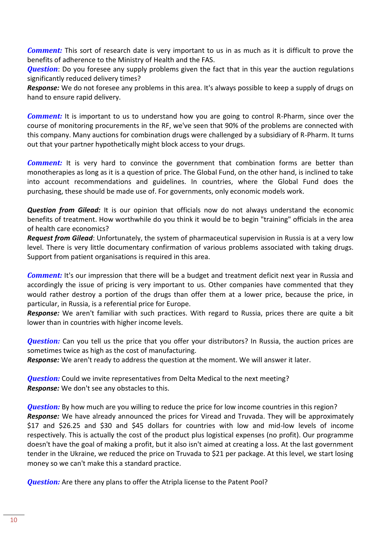*Comment:* This sort of research date is very important to us in as much as it is difficult to prove the benefits of adherence to the Ministry of Health and the FAS.

*Question*: Do you foresee any supply problems given the fact that in this year the auction regulations significantly reduced delivery times?

*Response:* We do not foresee any problems in this area. It's always possible to keep a supply of drugs on hand to ensure rapid delivery.

*Comment:* It is important to us to understand how you are going to control R-Pharm, since over the course of monitoring procurements in the RF, we've seen that 90% of the problems are connected with this company. Many auctions for combination drugs were challenged by a subsidiary of R-Pharm. It turns out that your partner hypothetically might block access to your drugs.

**Comment:** It is very hard to convince the government that combination forms are better than monotherapies as long as it is a question of price. The Global Fund, on the other hand, is inclined to take into account recommendations and guidelines. In countries, where the Global Fund does the purchasing, these should be made use of. For governments, only economic models work.

*Question from Gilead:* It is our opinion that officials now do not always understand the economic benefits of treatment. How worthwhile do you think it would be to begin "training" officials in the area of health care economics?

*Request from Gilead*: Unfortunately, the system of pharmaceutical supervision in Russia is at a very low level. There is very little documentary confirmation of various problems associated with taking drugs. Support from patient organisations is required in this area.

*Comment:* It's our impression that there will be a budget and treatment deficit next year in Russia and accordingly the issue of pricing is very important to us. Other companies have commented that they would rather destroy a portion of the drugs than offer them at a lower price, because the price, in particular, in Russia, is a referential price for Europe.

*Response:* We aren't familiar with such practices. With regard to Russia, prices there are quite a bit lower than in countries with higher income levels.

*Question:* Can you tell us the price that you offer your distributors? In Russia, the auction prices are sometimes twice as high as the cost of manufacturing.

*Response:* We aren't ready to address the question at the moment. We will answer it later.

*Question:* Could we invite representatives from Delta Medical to the next meeting? *Response:* We don't see any obstacles to this.

**Question:** By how much are you willing to reduce the price for low income countries in this region? *Response:* We have already announced the prices for Viread and Truvada. They will be approximately \$17 and \$26.25 and \$30 and \$45 dollars for countries with low and mid-low levels of income respectively. This is actually the cost of the product plus logistical expenses (no profit). Our programme doesn't have the goal of making a profit, but it also isn't aimed at creating a loss. At the last government tender in the Ukraine, we reduced the price on Truvada to \$21 per package. At this level, we start losing money so we can't make this a standard practice.

*Question:* Are there any plans to offer the Atripla license to the Patent Pool?